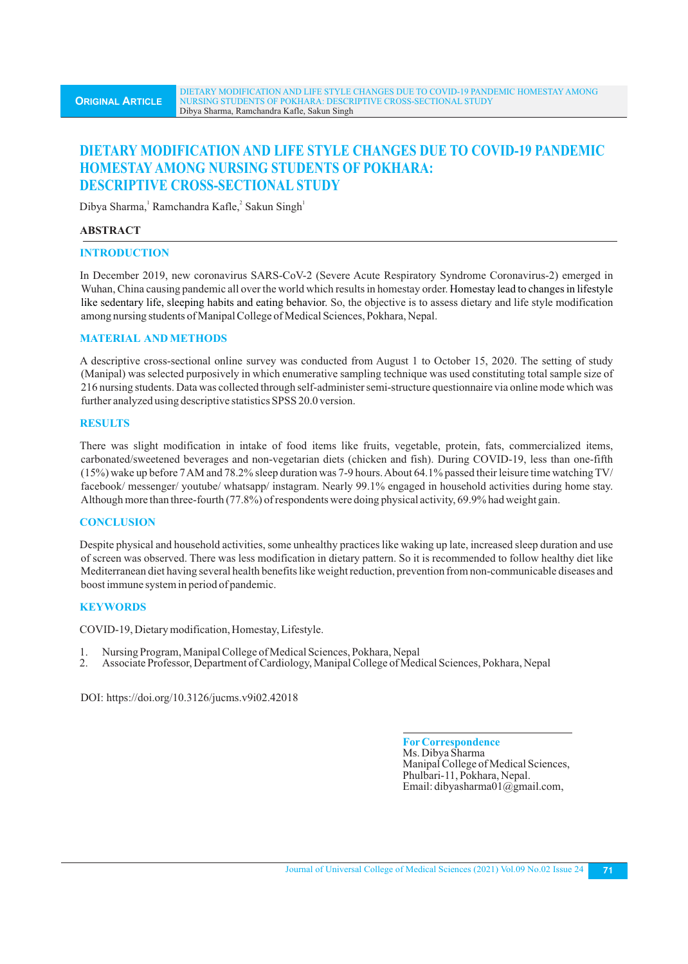# **DIETARY MODIFICATION AND LIFE STYLE CHANGES DUE TO COVID-19 PANDEMIC HOMESTAY AMONG NURSING STUDENTS OF POKHARA: DESCRIPTIVE CROSS-SECTIONAL STUDY**

Dibya Sharma, Ramchandra Kafle, Sakun Singh

## **ABSTRACT**

### **INTRODUCTION**

In December 2019, new coronavirus SARS-CoV-2 (Severe Acute Respiratory Syndrome Coronavirus-2) emerged in Wuhan, China causing pandemic all over the world which results in homestay order. Homestay lead to changes in lifestyle like sedentary life, sleeping habits and eating behavior. So, the objective is to assess dietary and life style modification among nursing students of Manipal College of Medical Sciences, Pokhara, Nepal.

## **MATERIAL AND METHODS**

A descriptive cross-sectional online survey was conducted from August 1 to October 15, 2020. The setting of study (Manipal) was selected purposively in which enumerative sampling technique was used constituting total sample size of 216 nursing students. Data was collected through self-administer semi-structure questionnaire via online mode which was further analyzed using descriptive statistics SPSS 20.0 version.

### **RESULTS**

There was slight modification in intake of food items like fruits, vegetable, protein, fats, commercialized items, carbonated/sweetened beverages and non-vegetarian diets (chicken and fish). During COVID-19, less than one-fifth (15%) wake up before 7 AM and 78.2% sleep duration was 7-9 hours. About 64.1% passed their leisure time watching TV/ facebook/ messenger/ youtube/ whatsapp/ instagram. Nearly 99.1% engaged in household activities during home stay. Although more than three-fourth (77.8%) of respondents were doing physical activity, 69.9% had weight gain.

## **CONCLUSION**

Despite physical and household activities, some unhealthy practices like waking up late, increased sleep duration and use of screen was observed. There was less modification in dietary pattern. So it is recommended to follow healthy diet like Mediterranean diet having several health benefits like weight reduction, prevention from non-communicable diseases and boost immune system in period of pandemic.

## **KEYWORDS**

COVID-19, Dietary modification, Homestay, Lifestyle.

- 1. Nursing Program, Manipal College of Medical Sciences, Pokhara, Nepal
- 2. Associate Professor, Department of Cardiology, Manipal College of Medical Sciences, Pokhara, Nepal

DOI: https://doi.org/10.3126/jucms.v9i02.42018

**ForCorrespondence** Ms. Dibya Sharma Manipal College of Medical Sciences, Phulbari-11, Pokhara, Nepal. Email: dibyasharma01@gmail.com,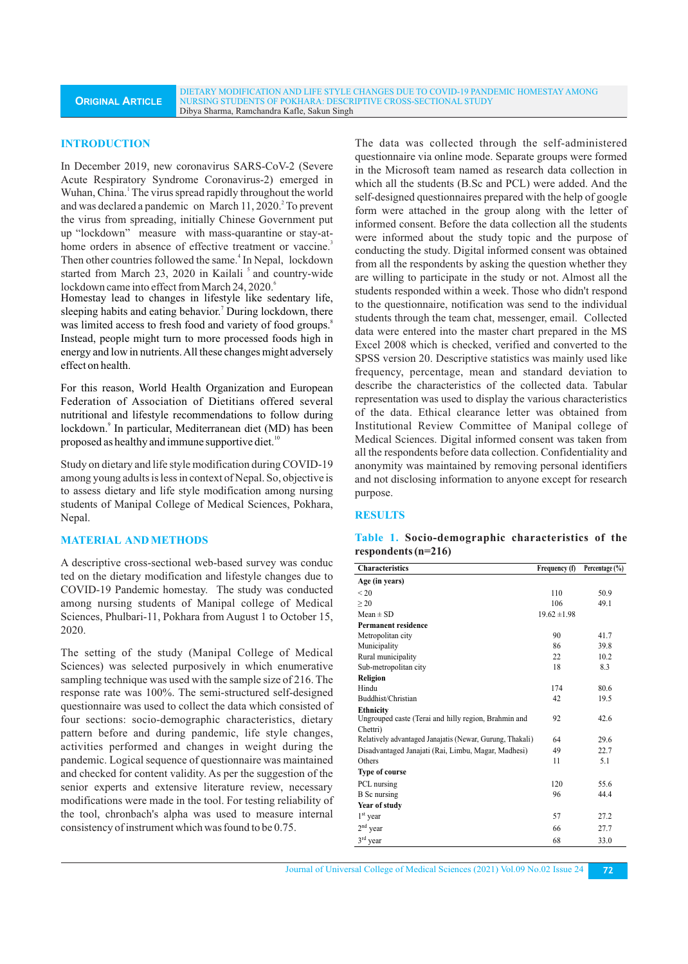#### **INTRODUCTION**

In December 2019, new coronavirus SARS-CoV-2 (Severe Acute Respiratory Syndrome Coronavirus-2) emerged in Wuhan, China.<sup>1</sup> The virus spread rapidly throughout the world and was declared a pandemic on March 11, 2020.<sup>2</sup> To prevent the virus from spreading, initially Chinese Government put up "lockdown" measure with mass-quarantine or stay-athome orders in absence of effective treatment or vaccine.<sup>3</sup> Then other countries followed the same.<sup>4</sup> In Nepal, lockdown started from March 23, 2020 in Kailali<sup>5</sup> and country-wide lockdown came into effect from March 24, 2020.

Homestay lead to changes in lifestyle like sedentary life, sleeping habits and eating behavior.<sup>7</sup> During lockdown, there was limited access to fresh food and variety of food groups.<sup>8</sup> Instead, people might turn to more processed foods high in energy and low in nutrients. All these changes might adversely effect on health.

For this reason, World Health Organization and European Federation of Association of Dietitians offered several nutritional and lifestyle recommendations to follow during lockdown.<sup>9</sup> In particular, Mediterranean diet (MD) has been proposed as healthy and immune supportive diet.<sup>10</sup>

Study on dietary and life style modification during COVID-19 among young adults is less in context of Nepal. So, objective is to assess dietary and life style modification among nursing students of Manipal College of Medical Sciences, Pokhara, Nepal.

### **MATERIAL AND METHODS**

A descriptive cross-sectional web-based survey was conduc ted on the dietary modification and lifestyle changes due to COVID-19 Pandemic homestay. The study was conducted among nursing students of Manipal college of Medical Sciences, Phulbari-11, Pokhara from August 1 to October 15, 2020.

The setting of the study (Manipal College of Medical Sciences) was selected purposively in which enumerative sampling technique was used with the sample size of 216. The response rate was 100%. The semi-structured self-designed questionnaire was used to collect the data which consisted of four sections: socio-demographic characteristics, dietary pattern before and during pandemic, life style changes, activities performed and changes in weight during the pandemic. Logical sequence of questionnaire was maintained and checked for content validity. As per the suggestion of the senior experts and extensive literature review, necessary modifications were made in the tool. For testing reliability of the tool, chronbach's alpha was used to measure internal consistency of instrument which was found to be 0.75.

The data was collected through the self-administered questionnaire via online mode. Separate groups were formed in the Microsoft team named as research data collection in which all the students (B.Sc and PCL) were added. And the self-designed questionnaires prepared with the help of google form were attached in the group along with the letter of informed consent. Before the data collection all the students were informed about the study topic and the purpose of conducting the study. Digital informed consent was obtained from all the respondents by asking the question whether they are willing to participate in the study or not. Almost all the students responded within a week. Those who didn't respond to the questionnaire, notification was send to the individual students through the team chat, messenger, email. Collected data were entered into the master chart prepared in the MS Excel 2008 which is checked, verified and converted to the SPSS version 20. Descriptive statistics was mainly used like frequency, percentage, mean and standard deviation to describe the characteristics of the collected data. Tabular representation was used to display the various characteristics of the data. Ethical clearance letter was obtained from Institutional Review Committee of Manipal college of Medical Sciences. Digital informed consent was taken from all the respondents before data collection. Confidentiality and anonymity was maintained by removing personal identifiers and not disclosing information to anyone except for research purpose.

#### **RESULTS**

### **Table 1. Socio-demographic characteristics of the respondents (n=216)**

| <b>Characteristics</b>                                   | Frequency (f)    | Percentage $(\% )$ |
|----------------------------------------------------------|------------------|--------------------|
| Age (in years)                                           |                  |                    |
| ${}_{< 20}$                                              | 110              | 50.9               |
| >20                                                      | 106              | 49.1               |
| $Mean \pm SD$                                            | $19.62 \pm 1.98$ |                    |
| <b>Permanent residence</b>                               |                  |                    |
| Metropolitan city                                        | 90               | 41.7               |
| Municipality                                             | 86               | 39.8               |
| Rural municipality                                       | 22               | 10.2               |
| Sub-metropolitan city                                    | 18               | 8.3                |
| Religion                                                 |                  |                    |
| Hindu                                                    | 174              | 80.6               |
| Buddhist/Christian                                       | 42               | 19.5               |
| <b>Ethnicity</b>                                         |                  |                    |
| Ungrouped caste (Terai and hilly region, Brahmin and     | 92               | 42.6               |
| Chettri)                                                 |                  |                    |
| Relatively advantaged Janajatis (Newar, Gurung, Thakali) | 64               | 29.6               |
| Disadvantaged Janajati (Rai, Limbu, Magar, Madhesi)      | 49               | 22.7               |
| Others                                                   | 11               | 5.1                |
| <b>Type of course</b>                                    |                  |                    |
| PCL nursing                                              | 120              | 55.6               |
| <b>B</b> Sc nursing                                      | 96               | 44.4               |
| Year of study                                            |                  |                    |
| $1st$ year                                               | 57               | 27.2               |
| $2nd$ year                                               | 66               | 27.7               |
| $3rd$ year                                               | 68               | 33.0               |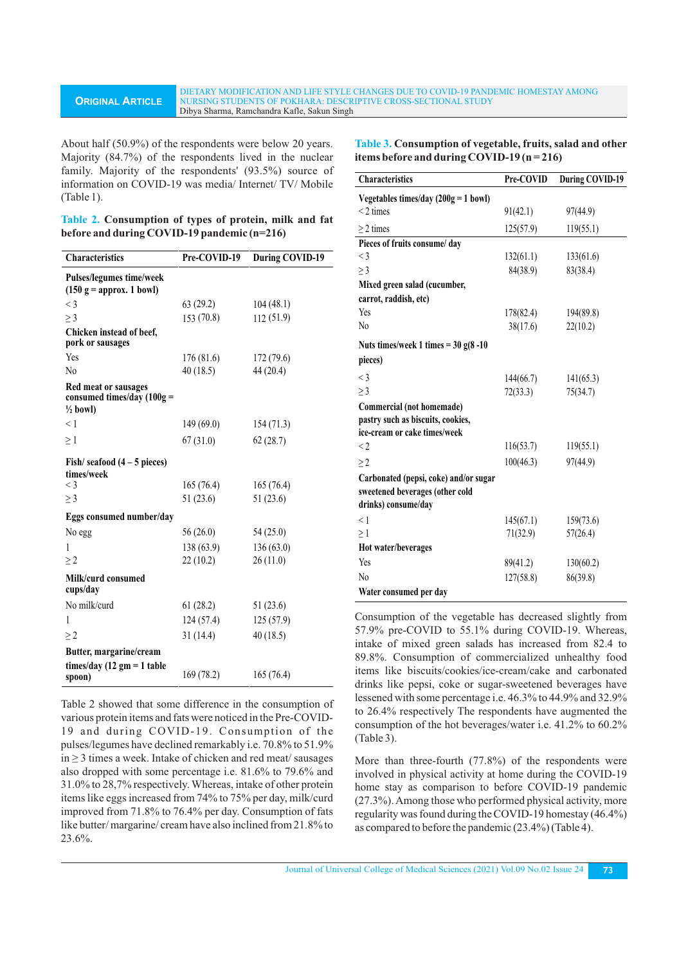#### DIETARY MODIFICATION AND LIFE STYLE CHANGES DUE TO COVID-19 PANDEMIC HOMESTAY AMONG NURSING STUDENTS OF POKHARA: DESCRIPTIVE CROSS-SECTIONAL STUDY Dibya Sharma, Ramchandra Kafle, Sakun Singh

About half (50.9%) of the respondents were below 20 years. Majority (84.7%) of the respondents lived in the nuclear family. Majority of the respondents' (93.5%) source of information on COVID-19 was media/ Internet/ TV/ Mobile (Table 1).

**ORIGINAL ARTICLE**

|  | Table 2. Consumption of types of protein, milk and fat |  |  |  |  |
|--|--------------------------------------------------------|--|--|--|--|
|  | before and during COVID-19 pandemic (n=216)            |  |  |  |  |

| Characteristics                                                             | Pre-COVID-19 | <b>During COVID-19</b> |
|-----------------------------------------------------------------------------|--------------|------------------------|
| Pulses/legumes time/week<br>$(150 g =$ approx. 1 bowl)                      |              |                        |
| $<$ 3                                                                       | 63(29.2)     | 104(48.1)              |
| $\geq$ 3                                                                    | 153(70.8)    | 112 (51.9)             |
| Chicken instead of beef,<br>pork or sausages                                |              |                        |
| Yes                                                                         | 176(81.6)    | 172(79.6)              |
| N <sub>0</sub>                                                              | 40(18.5)     | 44 (20.4)              |
| Red meat or sausages<br>consumed times/day $(100g =$<br>$\frac{1}{2}$ bowl) |              |                        |
| < 1                                                                         | 149 (69.0)   | 154 (71.3)             |
| $\geq$ 1                                                                    | 67(31.0)     | 62(28.7)               |
| Fish/seafood $(4-5$ pieces)<br>times/week                                   |              |                        |
| $\lt$ 3                                                                     | 165(76.4)    | 165(76.4)              |
| $\geq$ 3                                                                    | 51 (23.6)    | 51 (23.6)              |
| Eggs consumed number/day                                                    |              |                        |
| No egg                                                                      | 56 (26.0)    | 54 (25.0)              |
| 1                                                                           | 138(63.9)    | 136(63.0)              |
| $\geq$ 2                                                                    | 22(10.2)     | 26(11.0)               |
| Milk/curd consumed<br>cups/day                                              |              |                        |
| No milk/curd                                                                | 61(28.2)     | 51 (23.6)              |
| 1                                                                           | 124(57.4)    | 125(57.9)              |
| $\geq$ 2                                                                    | 31(14.4)     | 40(18.5)               |
| Butter, margarine/cream                                                     |              |                        |
| times/day (12 gm = 1 table<br>spoon)                                        | 169 (78.2)   | 165(76.4)              |

Table 2 showed that some difference in the consumption of various protein items and fats were noticed in the Pre-COVID-19 and during COVID-19. Consumption of the pulses/legumes have declined remarkably i.e. 70.8% to 51.9% in ≥ 3 times a week. Intake of chicken and red meat/ sausages also dropped with some percentage i.e. 81.6% to 79.6% and 31.0% to 28,7% respectively. Whereas, intake of other protein items like eggs increased from 74% to 75% per day, milk/curd improved from 71.8% to 76.4% per day. Consumption of fats like butter/ margarine/ cream have also inclined from 21.8% to 23.6%.

**Table 3. Consumption of vegetable, fruits, salad and other items before and during COVID-19 (n = 216)**

| <b>Characteristics</b>                 | Pre-COVID | <b>During COVID-19</b> |
|----------------------------------------|-----------|------------------------|
| Vegetables times/day $(200g = 1$ bowl) |           |                        |
| $<$ 2 times                            | 91(42.1)  | 97(44.9)               |
| $\geq$ 2 times                         | 125(57.9) | 119(55.1)              |
| Pieces of fruits consume/ day          |           |                        |
| $\leq$ 3                               | 132(61.1) | 133(61.6)              |
| $\geq$ 3                               | 84(38.9)  | 83(38.4)               |
| Mixed green salad (cucumber,           |           |                        |
| carrot, raddish, etc)                  |           |                        |
| Yes                                    | 178(82.4) | 194(89.8)              |
| N <sub>0</sub>                         | 38(17.6)  | 22(10.2)               |
| Nuts times/week 1 times = $30 g(8-10$  |           |                        |
| pieces)                                |           |                        |
| $<$ 3                                  | 144(66.7) | 141(65.3)              |
| $\geq$ 3                               | 72(33.3)  | 75(34.7)               |
| Commercial (not homemade)              |           |                        |
| pastry such as biscuits, cookies,      |           |                        |
| ice-cream or cake times/week           |           |                        |
| $\leq$ 2                               | 116(53.7) | 119(55.1)              |
| $\geq$ 2                               | 100(46.3) | 97(44.9)               |
| Carbonated (pepsi, coke) and/or sugar  |           |                        |
| sweetened beverages (other cold        |           |                        |
| drinks) consume/day                    |           |                        |
| $<$ 1                                  | 145(67.1) | 159(73.6)              |
| $\geq$ 1                               | 71(32.9)  | 57(26.4)               |
| Hot water/beverages                    |           |                        |
| Yes                                    | 89(41.2)  | 130(60.2)              |
| N <sub>0</sub>                         | 127(58.8) | 86(39.8)               |
| Water consumed per day                 |           |                        |

Consumption of the vegetable has decreased slightly from 57.9% pre-COVID to 55.1% during COVID-19. Whereas, intake of mixed green salads has increased from 82.4 to 89.8%. Consumption of commercialized unhealthy food items like biscuits/cookies/ice-cream/cake and carbonated drinks like pepsi, coke or sugar-sweetened beverages have lessened with some percentage i.e. 46.3% to 44.9% and 32.9% to 26.4% respectively The respondents have augmented the consumption of the hot beverages/water i.e. 41.2% to 60.2% (Table 3).

More than three-fourth (77.8%) of the respondents were involved in physical activity at home during the COVID-19 home stay as comparison to before COVID-19 pandemic (27.3%). Among those who performed physical activity, more regularity was found during the COVID-19 homestay (46.4%) as compared to before the pandemic (23.4%) (Table 4).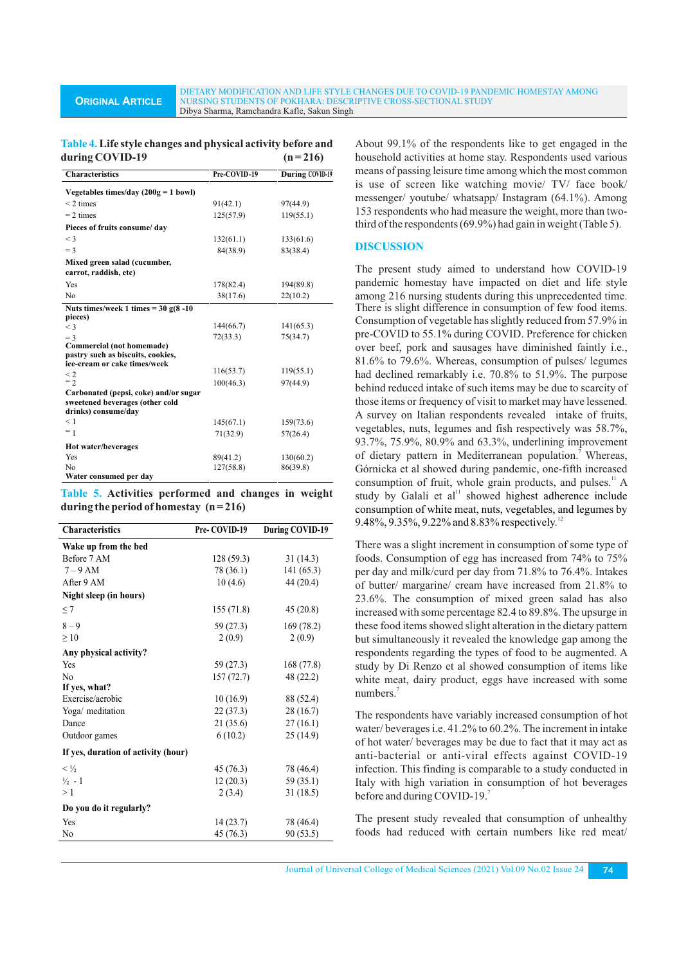DIETARY MODIFICATION AND LIFE STYLE CHANGES DUE TO COVID-19 PANDEMIC HOMESTAY AMONG NURSING STUDENTS OF POKHARA: DESCRIPTIVE CROSS-SECTIONAL STUDY Dibya Sharma, Ramchandra Kafle, Sakun Singh

### **Table 4. Life style changes and physical activity before and**  during COVID-19  $(n=216)$

| <b>Characteristics</b>                 | Pre-COVID-19 | During COVID-19 |
|----------------------------------------|--------------|-----------------|
| Vegetables times/day $(200g = 1$ bowl) |              |                 |
| $<$ 2 times                            | 91(42.1)     | 97(44.9)        |
| $= 2 \times$                           | 125(57.9)    | 119(55.1)       |
| Pieces of fruits consume/ day          |              |                 |
| $\leq$ 3                               | 132(61.1)    | 133(61.6)       |
| $=$ 3                                  | 84(38.9)     | 83(38.4)        |
| Mixed green salad (cucumber,           |              |                 |
| carrot, raddish, etc)                  |              |                 |
| Yes                                    | 178(82.4)    | 194(89.8)       |
| N <sub>0</sub>                         | 38(17.6)     | 22(10.2)        |
| Nuts times/week 1 times = $30 g(8-10$  |              |                 |
| pieces)                                |              |                 |
| $<$ 3                                  | 144(66.7)    | 141(65.3)       |
| $=$ 3                                  | 72(33.3)     | 75(34.7)        |
| Commercial (not homemade)              |              |                 |
| pastry such as biscuits, cookies,      |              |                 |
| ice-cream or cake times/week           | 116(53.7)    | 119(55.1)       |
| $\leq$ 2<br>$=$ 2                      | 100(46.3)    | 97(44.9)        |
| Carbonated (pepsi, coke) and/or sugar  |              |                 |
| sweetened beverages (other cold        |              |                 |
| drinks) consume/day                    |              |                 |
| < 1                                    | 145(67.1)    | 159(73.6)       |
| $= 1$                                  | 71(32.9)     | 57(26.4)        |
| Hot water/beverages                    |              |                 |
| Yes                                    | 89(41.2)     | 130(60.2)       |
| No                                     | 127(58.8)    | 86(39.8)        |
| Water consumed per day                 |              |                 |

**Table 5. Activities performed and changes in weight during the period of homestay (n = 216)**

| <b>Characteristics</b>              | Pre-COVID-19 | <b>During COVID-19</b> |
|-------------------------------------|--------------|------------------------|
| Wake up from the bed                |              |                        |
| Before 7 AM                         | 128(59.3)    | 31(14.3)               |
| $7-9$ AM                            | 78 (36.1)    | 141 (65.3)             |
| After 9 AM                          | 10(4.6)      | 44 (20.4)              |
| Night sleep (in hours)              |              |                        |
| $\leq$ 7                            | 155(71.8)    | 45(20.8)               |
| $8 - 9$                             | 59 (27.3)    | 169 (78.2)             |
| $\geq 10$                           | 2(0.9)       | 2(0.9)                 |
| Any physical activity?              |              |                        |
| Yes                                 | 59 (27.3)    | 168 (77.8)             |
| N <sub>0</sub>                      | 157 (72.7)   | 48 (22.2)              |
| If yes, what?                       |              |                        |
| Exercise/aerobic                    | 10(16.9)     | 88 (52.4)              |
| Yoga/ meditation                    | 22(37.3)     | 28 (16.7)              |
| Dance                               | 21(35.6)     | 27(16.1)               |
| Outdoor games                       | 6(10.2)      | 25(14.9)               |
| If yes, duration of activity (hour) |              |                        |
| $< \frac{1}{2}$                     | 45(76.3)     | 78 (46.4)              |
| $\frac{1}{2}$ - 1                   | 12(20.3)     | 59 (35.1)              |
| >1                                  | 2(3.4)       | 31(18.5)               |
| Do you do it regularly?             |              |                        |
| Yes                                 | 14(23.7)     | 78 (46.4)              |
| N <sub>0</sub>                      | 45 (76.3)    | 90 (53.5)              |
|                                     |              |                        |

About 99.1% of the respondents like to get engaged in the household activities at home stay. Respondents used various means of passing leisure time among which the most common is use of screen like watching movie/ TV/ face book/ messenger/ youtube/ whatsapp/ Instagram (64.1%). Among 153 respondents who had measure the weight, more than twothird of the respondents (69.9%) had gain in weight (Table 5).

### **DISCUSSION**

The present study aimed to understand how COVID-19 pandemic homestay have impacted on diet and life style among 216 nursing students during this unprecedented time. There is slight difference in consumption of few food items. Consumption of vegetable has slightly reduced from 57.9% in pre-COVID to 55.1% during COVID. Preference for chicken over beef, pork and sausages have diminished faintly i.e., 81.6% to 79.6%. Whereas, consumption of pulses/ legumes had declined remarkably i.e. 70.8% to 51.9%. The purpose behind reduced intake of such items may be due to scarcity of those items or frequency of visit to market may have lessened. A survey on Italian respondents revealed intake of fruits, vegetables, nuts, legumes and fish respectively was 58.7%, 93.7%, 75.9%, 80.9% and 63.3%, underlining improvement of dietary pattern in Mediterranean population. Whereas, Górnicka et al showed during pandemic, one-fifth increased consumption of fruit, whole grain products, and pulses.<sup>11</sup> A study by Galali et al<sup>11</sup> showed highest adherence include consumption of white meat, nuts, vegetables, and legumes by 9.48%, 9.35%, 9.22% and 8.83% respectively.<sup>12</sup>

There was a slight increment in consumption of some type of foods. Consumption of egg has increased from 74% to 75% per day and milk/curd per day from 71.8% to 76.4%. Intakes of butter/ margarine/ cream have increased from 21.8% to 23.6%. The consumption of mixed green salad has also increased with some percentage 82.4 to 89.8%. The upsurge in these food items showed slight alteration in the dietary pattern but simultaneously it revealed the knowledge gap among the respondents regarding the types of food to be augmented. A study by Di Renzo et al showed consumption of items like white meat, dairy product, eggs have increased with some numbers.<sup>7</sup>

The respondents have variably increased consumption of hot water/ beverages i.e. 41.2% to 60.2%. The increment in intake of hot water/ beverages may be due to fact that it may act as anti-bacterial or anti-viral effects against COVID-19 infection. This finding is comparable to a study conducted in Italy with high variation in consumption of hot beverages before and during COVID-19.

The present study revealed that consumption of unhealthy foods had reduced with certain numbers like red meat/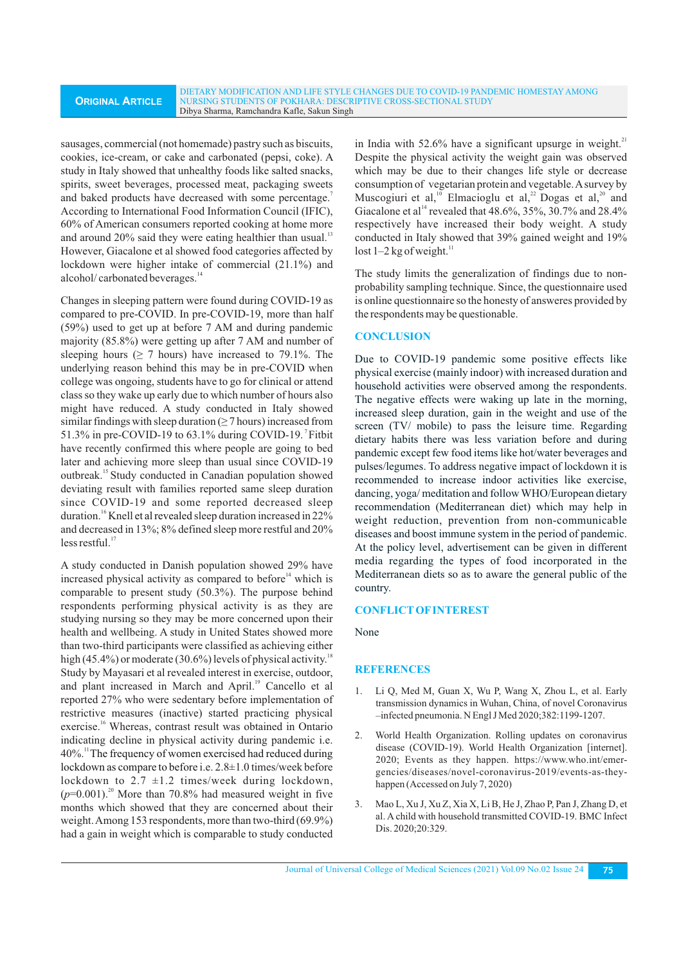sausages, commercial (not homemade) pastry such as biscuits, cookies, ice-cream, or cake and carbonated (pepsi, coke). A study in Italy showed that unhealthy foods like salted snacks, spirits, sweet beverages, processed meat, packaging sweets and baked products have decreased with some percentage.<sup>7</sup> According to International Food Information Council (IFIC), 60% of American consumers reported cooking at home more and around  $20\%$  said they were eating healthier than usual.<sup>13</sup> However, Giacalone et al showed food categories affected by lockdown were higher intake of commercial (21.1%) and alcohol/ carbonated beverages.<sup>14</sup>

Changes in sleeping pattern were found during COVID-19 as compared to pre-COVID. In pre-COVID-19, more than half (59%) used to get up at before 7 AM and during pandemic majority (85.8%) were getting up after 7 AM and number of sleeping hours ( $\geq$  7 hours) have increased to 79.1%. The underlying reason behind this may be in pre-COVID when college was ongoing, students have to go for clinical or attend class so they wake up early due to which number of hours also might have reduced. A study conducted in Italy showed similar findings with sleep duration  $(≥ 7$  hours) increased from 51.3% in pre-COVID-19 to 63.1% during COVID-19. Fitbit have recently confirmed this where people are going to bed later and achieving more sleep than usual since COVID-19 outbreak.<sup>15</sup> Study conducted in Canadian population showed deviating result with families reported same sleep duration since COVID-19 and some reported decreased sleep duration.<sup>16</sup> Knell et al revealed sleep duration increased in 22% and decreased in 13%; 8% defined sleep more restful and 20%  $less restful.<sup>17</sup>$ 

A study conducted in Danish population showed 29% have increased physical activity as compared to before $\mathfrak{t}^4$  which is comparable to present study (50.3%). The purpose behind respondents performing physical activity is as they are studying nursing so they may be more concerned upon their health and wellbeing. A study in United States showed more than two-third participants were classified as achieving either high (45.4%) or moderate (30.6%) levels of physical activity.<sup>18</sup> Study by Mayasari et al revealed interest in exercise, outdoor, and plant increased in March and April.<sup>19</sup> Cancello et al reported 27% who were sedentary before implementation of restrictive measures (inactive) started practicing physical exercise.<sup>16</sup> Whereas, contrast result was obtained in Ontario indicating decline in physical activity during pandemic i.e. <sup>11</sup>40%. The frequency of women exercised had reduced during lockdown as compare to before i.e. 2.8±1.0 times/week before lockdown to  $2.7 \pm 1.2$  times/week during lockdown,  $(p=0.001)$ <sup>20</sup> More than 70.8% had measured weight in five months which showed that they are concerned about their weight. Among 153 respondents, more than two-third (69.9%) had a gain in weight which is comparable to study conducted

in India with  $52.6\%$  have a significant upsurge in weight.<sup>21</sup> Despite the physical activity the weight gain was observed which may be due to their changes life style or decrease consumption of vegetarian protein and vegetable. Asurvey by Muscogiuri et al,<sup>10</sup> Elmacioglu et al,<sup>22</sup> Dogas et al,<sup>20</sup> and Giacalone et al<sup>14</sup> revealed that 48.6%, 35%, 30.7% and 28.4% respectively have increased their body weight. A study conducted in Italy showed that 39% gained weight and 19%  $lost 1-2 kg of weight.<sup>11</sup>$ 

The study limits the generalization of findings due to nonprobability sampling technique. Since, the questionnaire used is online questionnaire so the honesty of answeres provided by the respondents may be questionable.

### **CONCLUSION**

Due to COVID-19 pandemic some positive effects like physical exercise (mainly indoor) with increased duration and household activities were observed among the respondents. The negative effects were waking up late in the morning, increased sleep duration, gain in the weight and use of the screen (TV/ mobile) to pass the leisure time. Regarding dietary habits there was less variation before and during pandemic except few food items like hot/water beverages and pulses/legumes. To address negative impact of lockdown it is recommended to increase indoor activities like exercise, dancing, yoga/ meditation and follow WHO/European dietary recommendation (Mediterranean diet) which may help in weight reduction, prevention from non-communicable diseases and boost immune system in the period of pandemic. At the policy level, advertisement can be given in different media regarding the types of food incorporated in the Mediterranean diets so as to aware the general public of the country.

### **CONFLICTOFINTEREST**

None

### **REFERENCES**

- 1. Li Q, Med M, Guan X, Wu P, Wang X, Zhou L, et al. Early transmission dynamics in Wuhan, China, of novel Coronavirus –infected pneumonia. N Engl J Med 2020;382:1199-1207.
- 2. World Health Organization. Rolling updates on coronavirus disease (COVID-19). World Health Organization [internet]. 2020; Events as they happen. https://www.who.int/emergencies/diseases/novel-coronavirus-2019/events-as-theyhappen (Accessed on July 7, 2020)
- 3. Mao L, Xu J, Xu Z, Xia X, Li B, He J, Zhao P, Pan J, Zhang D, et al. A child with household transmitted COVID-19. BMC Infect Dis. 2020;20:329.